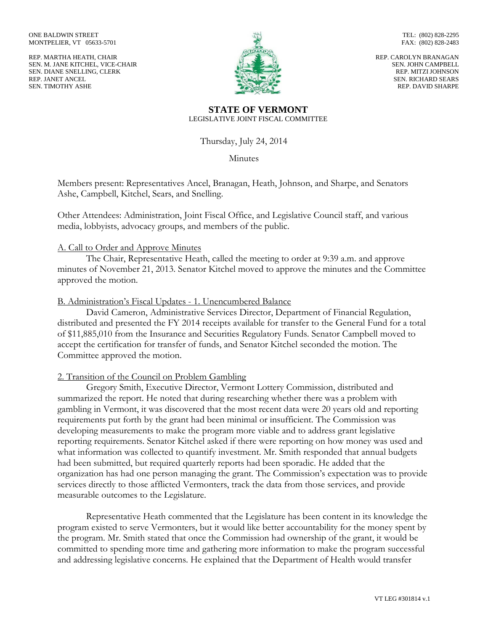REP. MARTHA HEATH, CHAIR SEN. M. JANE KITCHEL, VICE-CHAIR SEN. DIANE SNELLING, CLERK REP. JANET ANCEL SEN. TIMOTHY ASHE



TEL: (802) 828-2295 FAX: (802) 828-2483

REP. CAROLYN BRANAGAN SEN. JOHN CAMPBELL REP. MITZI JOHNSON SEN. RICHARD SEARS REP. DAVID SHARPE

#### **STATE OF VERMONT** LEGISLATIVE JOINT FISCAL COMMITTEE

Thursday, July 24, 2014

Minutes

Members present: Representatives Ancel, Branagan, Heath, Johnson, and Sharpe, and Senators Ashe, Campbell, Kitchel, Sears, and Snelling.

Other Attendees: Administration, Joint Fiscal Office, and Legislative Council staff, and various media, lobbyists, advocacy groups, and members of the public.

# A. Call to Order and Approve Minutes

The Chair, Representative Heath, called the meeting to order at 9:39 a.m. and approve minutes of November 21, 2013. Senator Kitchel moved to approve the minutes and the Committee approved the motion.

## B. Administration's Fiscal Updates - 1. Unencumbered Balance

David Cameron, Administrative Services Director, Department of Financial Regulation, distributed and presented the FY 2014 receipts available for transfer to the General Fund for a total of \$11,885,010 from the Insurance and Securities Regulatory Funds. Senator Campbell moved to accept the certification for transfer of funds, and Senator Kitchel seconded the motion. The Committee approved the motion.

# 2. Transition of the Council on Problem Gambling

Gregory Smith, Executive Director, Vermont Lottery Commission, distributed and summarized the report. He noted that during researching whether there was a problem with gambling in Vermont, it was discovered that the most recent data were 20 years old and reporting requirements put forth by the grant had been minimal or insufficient. The Commission was developing measurements to make the program more viable and to address grant legislative reporting requirements. Senator Kitchel asked if there were reporting on how money was used and what information was collected to quantify investment. Mr. Smith responded that annual budgets had been submitted, but required quarterly reports had been sporadic. He added that the organization has had one person managing the grant. The Commission's expectation was to provide services directly to those afflicted Vermonters, track the data from those services, and provide measurable outcomes to the Legislature.

Representative Heath commented that the Legislature has been content in its knowledge the program existed to serve Vermonters, but it would like better accountability for the money spent by the program. Mr. Smith stated that once the Commission had ownership of the grant, it would be committed to spending more time and gathering more information to make the program successful and addressing legislative concerns. He explained that the Department of Health would transfer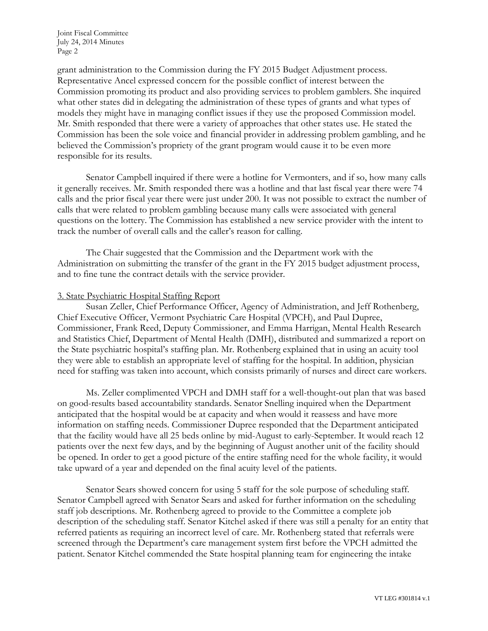grant administration to the Commission during the FY 2015 Budget Adjustment process. Representative Ancel expressed concern for the possible conflict of interest between the Commission promoting its product and also providing services to problem gamblers. She inquired what other states did in delegating the administration of these types of grants and what types of models they might have in managing conflict issues if they use the proposed Commission model. Mr. Smith responded that there were a variety of approaches that other states use. He stated the Commission has been the sole voice and financial provider in addressing problem gambling, and he believed the Commission's propriety of the grant program would cause it to be even more responsible for its results.

Senator Campbell inquired if there were a hotline for Vermonters, and if so, how many calls it generally receives. Mr. Smith responded there was a hotline and that last fiscal year there were 74 calls and the prior fiscal year there were just under 200. It was not possible to extract the number of calls that were related to problem gambling because many calls were associated with general questions on the lottery. The Commission has established a new service provider with the intent to track the number of overall calls and the caller's reason for calling.

The Chair suggested that the Commission and the Department work with the Administration on submitting the transfer of the grant in the FY 2015 budget adjustment process, and to fine tune the contract details with the service provider.

### 3. State Psychiatric Hospital Staffing Report

Susan Zeller, Chief Performance Officer, Agency of Administration, and Jeff Rothenberg, Chief Executive Officer, Vermont Psychiatric Care Hospital (VPCH), and Paul Dupree, Commissioner, Frank Reed, Deputy Commissioner, and Emma Harrigan, Mental Health Research and Statistics Chief, Department of Mental Health (DMH), distributed and summarized a report on the State psychiatric hospital's staffing plan. Mr. Rothenberg explained that in using an acuity tool they were able to establish an appropriate level of staffing for the hospital. In addition, physician need for staffing was taken into account, which consists primarily of nurses and direct care workers.

Ms. Zeller complimented VPCH and DMH staff for a well-thought-out plan that was based on good-results based accountability standards. Senator Snelling inquired when the Department anticipated that the hospital would be at capacity and when would it reassess and have more information on staffing needs. Commissioner Dupree responded that the Department anticipated that the facility would have all 25 beds online by mid-August to early-September. It would reach 12 patients over the next few days, and by the beginning of August another unit of the facility should be opened. In order to get a good picture of the entire staffing need for the whole facility, it would take upward of a year and depended on the final acuity level of the patients.

Senator Sears showed concern for using 5 staff for the sole purpose of scheduling staff. Senator Campbell agreed with Senator Sears and asked for further information on the scheduling staff job descriptions. Mr. Rothenberg agreed to provide to the Committee a complete job description of the scheduling staff. Senator Kitchel asked if there was still a penalty for an entity that referred patients as requiring an incorrect level of care. Mr. Rothenberg stated that referrals were screened through the Department's care management system first before the VPCH admitted the patient. Senator Kitchel commended the State hospital planning team for engineering the intake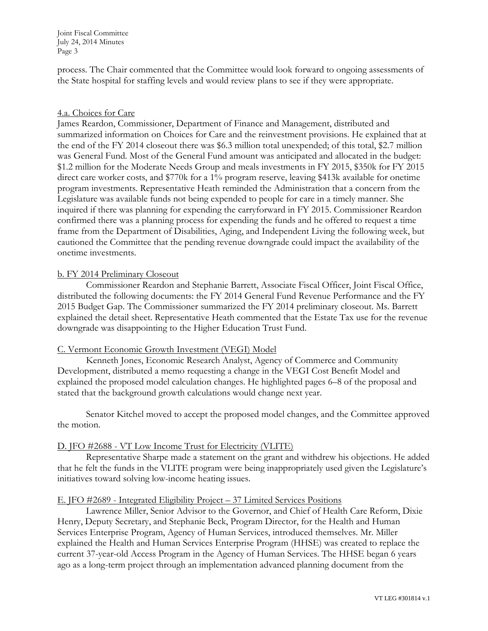process. The Chair commented that the Committee would look forward to ongoing assessments of the State hospital for staffing levels and would review plans to see if they were appropriate.

## 4.a. Choices for Care

James Reardon, Commissioner, Department of Finance and Management, distributed and summarized information on Choices for Care and the reinvestment provisions. He explained that at the end of the FY 2014 closeout there was \$6.3 million total unexpended; of this total, \$2.7 million was General Fund. Most of the General Fund amount was anticipated and allocated in the budget: \$1.2 million for the Moderate Needs Group and meals investments in FY 2015, \$350k for FY 2015 direct care worker costs, and \$770k for a 1% program reserve, leaving \$413k available for onetime program investments. Representative Heath reminded the Administration that a concern from the Legislature was available funds not being expended to people for care in a timely manner. She inquired if there was planning for expending the carryforward in FY 2015. Commissioner Reardon confirmed there was a planning process for expending the funds and he offered to request a time frame from the Department of Disabilities, Aging, and Independent Living the following week, but cautioned the Committee that the pending revenue downgrade could impact the availability of the onetime investments.

## b. FY 2014 Preliminary Closeout

Commissioner Reardon and Stephanie Barrett, Associate Fiscal Officer, Joint Fiscal Office, distributed the following documents: the FY 2014 General Fund Revenue Performance and the FY 2015 Budget Gap. The Commissioner summarized the FY 2014 preliminary closeout. Ms. Barrett explained the detail sheet. Representative Heath commented that the Estate Tax use for the revenue downgrade was disappointing to the Higher Education Trust Fund.

### C. Vermont Economic Growth Investment (VEGI) Model

Kenneth Jones, Economic Research Analyst, Agency of Commerce and Community Development, distributed a memo requesting a change in the VEGI Cost Benefit Model and explained the proposed model calculation changes. He highlighted pages 6–8 of the proposal and stated that the background growth calculations would change next year.

Senator Kitchel moved to accept the proposed model changes, and the Committee approved the motion.

### D. JFO #2688 - VT Low Income Trust for Electricity (VLITE)

Representative Sharpe made a statement on the grant and withdrew his objections. He added that he felt the funds in the VLITE program were being inappropriately used given the Legislature's initiatives toward solving low-income heating issues.

### E. JFO #2689 - Integrated Eligibility Project – 37 Limited Services Positions

Lawrence Miller, Senior Advisor to the Governor, and Chief of Health Care Reform, Dixie Henry, Deputy Secretary, and Stephanie Beck, Program Director, for the Health and Human Services Enterprise Program, Agency of Human Services, introduced themselves. Mr. Miller explained the Health and Human Services Enterprise Program (HHSE) was created to replace the current 37-year-old Access Program in the Agency of Human Services. The HHSE began 6 years ago as a long-term project through an implementation advanced planning document from the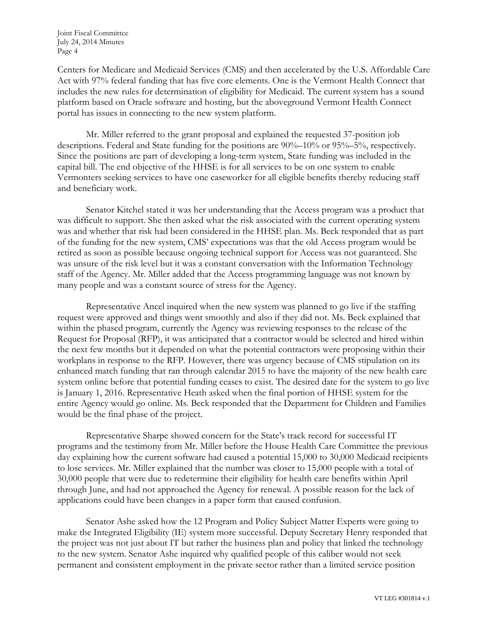Centers for Medicare and Medicaid Services (CMS) and then accelerated by the U.S. Affordable Care Act with 97% federal funding that has five core elements. One is the Vermont Health Connect that includes the new rules for determination of eligibility for Medicaid. The current system has a sound platform based on Oracle software and hosting, but the aboveground Vermont Health Connect portal has issues in connecting to the new system platform.

Mr. Miller referred to the grant proposal and explained the requested 37-position job descriptions. Federal and State funding for the positions are 90%–10% or 95%–5%, respectively. Since the positions are part of developing a long-term system, State funding was included in the capital bill. The end objective of the HHSE is for all services to be on one system to enable Vermonters seeking services to have one caseworker for all eligible benefits thereby reducing staff and beneficiary work.

Senator Kitchel stated it was her understanding that the Access program was a product that was difficult to support. She then asked what the risk associated with the current operating system was and whether that risk had been considered in the HHSE plan. Ms. Beck responded that as part of the funding for the new system, CMS' expectations was that the old Access program would be retired as soon as possible because ongoing technical support for Access was not guaranteed. She was unsure of the risk level but it was a constant conversation with the Information Technology staff of the Agency. Mr. Miller added that the Access programming language was not known by many people and was a constant source of stress for the Agency.

Representative Ancel inquired when the new system was planned to go live if the staffing request were approved and things went smoothly and also if they did not. Ms. Beck explained that within the phased program, currently the Agency was reviewing responses to the release of the Request for Proposal (RFP), it was anticipated that a contractor would be selected and hired within the next few months but it depended on what the potential contractors were proposing within their workplans in response to the RFP. However, there was urgency because of CMS stipulation on its enhanced match funding that ran through calendar 2015 to have the majority of the new health care system online before that potential funding ceases to exist. The desired date for the system to go live is January 1, 2016. Representative Heath asked when the final portion of HHSE system for the entire Agency would go online. Ms. Beck responded that the Department for Children and Families would be the final phase of the project.

Representative Sharpe showed concern for the State's track record for successful IT programs and the testimony from Mr. Miller before the House Health Care Committee the previous day explaining how the current software had caused a potential 15,000 to 30,000 Medicaid recipients to lose services. Mr. Miller explained that the number was closer to 15,000 people with a total of 30,000 people that were due to redetermine their eligibility for health care benefits within April through June, and had not approached the Agency for renewal. A possible reason for the lack of applications could have been changes in a paper form that caused confusion.

Senator Ashe asked how the 12 Program and Policy Subject Matter Experts were going to make the Integrated Eligibility (IE) system more successful. Deputy Secretary Henry responded that the project was not just about IT but rather the business plan and policy that linked the technology to the new system. Senator Ashe inquired why qualified people of this caliber would not seek permanent and consistent employment in the private sector rather than a limited service position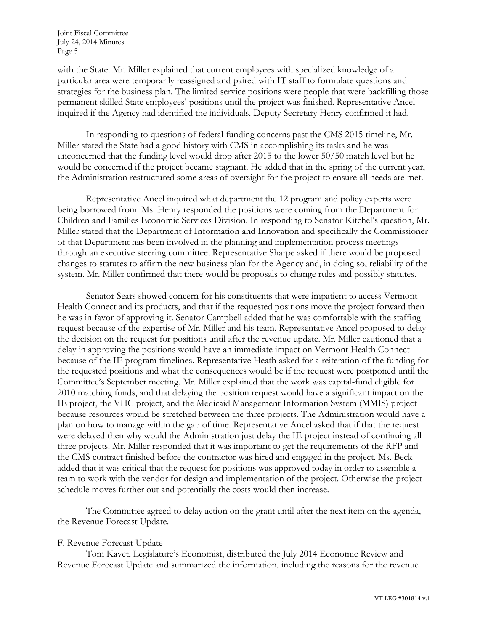with the State. Mr. Miller explained that current employees with specialized knowledge of a particular area were temporarily reassigned and paired with IT staff to formulate questions and strategies for the business plan. The limited service positions were people that were backfilling those permanent skilled State employees' positions until the project was finished. Representative Ancel inquired if the Agency had identified the individuals. Deputy Secretary Henry confirmed it had.

In responding to questions of federal funding concerns past the CMS 2015 timeline, Mr. Miller stated the State had a good history with CMS in accomplishing its tasks and he was unconcerned that the funding level would drop after 2015 to the lower 50/50 match level but he would be concerned if the project became stagnant. He added that in the spring of the current year, the Administration restructured some areas of oversight for the project to ensure all needs are met.

Representative Ancel inquired what department the 12 program and policy experts were being borrowed from. Ms. Henry responded the positions were coming from the Department for Children and Families Economic Services Division. In responding to Senator Kitchel's question, Mr. Miller stated that the Department of Information and Innovation and specifically the Commissioner of that Department has been involved in the planning and implementation process meetings through an executive steering committee. Representative Sharpe asked if there would be proposed changes to statutes to affirm the new business plan for the Agency and, in doing so, reliability of the system. Mr. Miller confirmed that there would be proposals to change rules and possibly statutes.

Senator Sears showed concern for his constituents that were impatient to access Vermont Health Connect and its products, and that if the requested positions move the project forward then he was in favor of approving it. Senator Campbell added that he was comfortable with the staffing request because of the expertise of Mr. Miller and his team. Representative Ancel proposed to delay the decision on the request for positions until after the revenue update. Mr. Miller cautioned that a delay in approving the positions would have an immediate impact on Vermont Health Connect because of the IE program timelines. Representative Heath asked for a reiteration of the funding for the requested positions and what the consequences would be if the request were postponed until the Committee's September meeting. Mr. Miller explained that the work was capital-fund eligible for 2010 matching funds, and that delaying the position request would have a significant impact on the IE project, the VHC project, and the Medicaid Management Information System (MMIS) project because resources would be stretched between the three projects. The Administration would have a plan on how to manage within the gap of time. Representative Ancel asked that if that the request were delayed then why would the Administration just delay the IE project instead of continuing all three projects. Mr. Miller responded that it was important to get the requirements of the RFP and the CMS contract finished before the contractor was hired and engaged in the project. Ms. Beck added that it was critical that the request for positions was approved today in order to assemble a team to work with the vendor for design and implementation of the project. Otherwise the project schedule moves further out and potentially the costs would then increase.

The Committee agreed to delay action on the grant until after the next item on the agenda, the Revenue Forecast Update.

### F. Revenue Forecast Update

Tom Kavet, Legislature's Economist, distributed the July 2014 Economic Review and Revenue Forecast Update and summarized the information, including the reasons for the revenue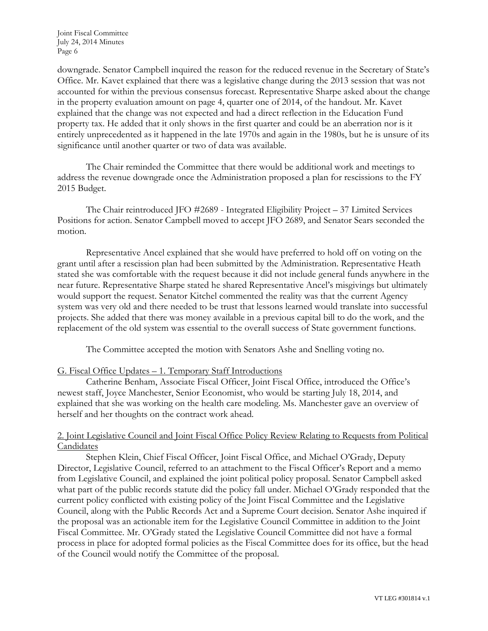downgrade. Senator Campbell inquired the reason for the reduced revenue in the Secretary of State's Office. Mr. Kavet explained that there was a legislative change during the 2013 session that was not accounted for within the previous consensus forecast. Representative Sharpe asked about the change in the property evaluation amount on page 4, quarter one of 2014, of the handout. Mr. Kavet explained that the change was not expected and had a direct reflection in the Education Fund property tax. He added that it only shows in the first quarter and could be an aberration nor is it entirely unprecedented as it happened in the late 1970s and again in the 1980s, but he is unsure of its significance until another quarter or two of data was available.

The Chair reminded the Committee that there would be additional work and meetings to address the revenue downgrade once the Administration proposed a plan for rescissions to the FY 2015 Budget.

The Chair reintroduced JFO #2689 - Integrated Eligibility Project – 37 Limited Services Positions for action. Senator Campbell moved to accept JFO 2689, and Senator Sears seconded the motion.

Representative Ancel explained that she would have preferred to hold off on voting on the grant until after a rescission plan had been submitted by the Administration. Representative Heath stated she was comfortable with the request because it did not include general funds anywhere in the near future. Representative Sharpe stated he shared Representative Ancel's misgivings but ultimately would support the request. Senator Kitchel commented the reality was that the current Agency system was very old and there needed to be trust that lessons learned would translate into successful projects. She added that there was money available in a previous capital bill to do the work, and the replacement of the old system was essential to the overall success of State government functions.

The Committee accepted the motion with Senators Ashe and Snelling voting no.

# G. Fiscal Office Updates – 1. Temporary Staff Introductions

Catherine Benham, Associate Fiscal Officer, Joint Fiscal Office, introduced the Office's newest staff, Joyce Manchester, Senior Economist, who would be starting July 18, 2014, and explained that she was working on the health care modeling. Ms. Manchester gave an overview of herself and her thoughts on the contract work ahead.

## 2. Joint Legislative Council and Joint Fiscal Office Policy Review Relating to Requests from Political Candidates

Stephen Klein, Chief Fiscal Officer, Joint Fiscal Office, and Michael O'Grady, Deputy Director, Legislative Council, referred to an attachment to the Fiscal Officer's Report and a memo from Legislative Council, and explained the joint political policy proposal. Senator Campbell asked what part of the public records statute did the policy fall under. Michael O'Grady responded that the current policy conflicted with existing policy of the Joint Fiscal Committee and the Legislative Council, along with the Public Records Act and a Supreme Court decision. Senator Ashe inquired if the proposal was an actionable item for the Legislative Council Committee in addition to the Joint Fiscal Committee. Mr. O'Grady stated the Legislative Council Committee did not have a formal process in place for adopted formal policies as the Fiscal Committee does for its office, but the head of the Council would notify the Committee of the proposal.